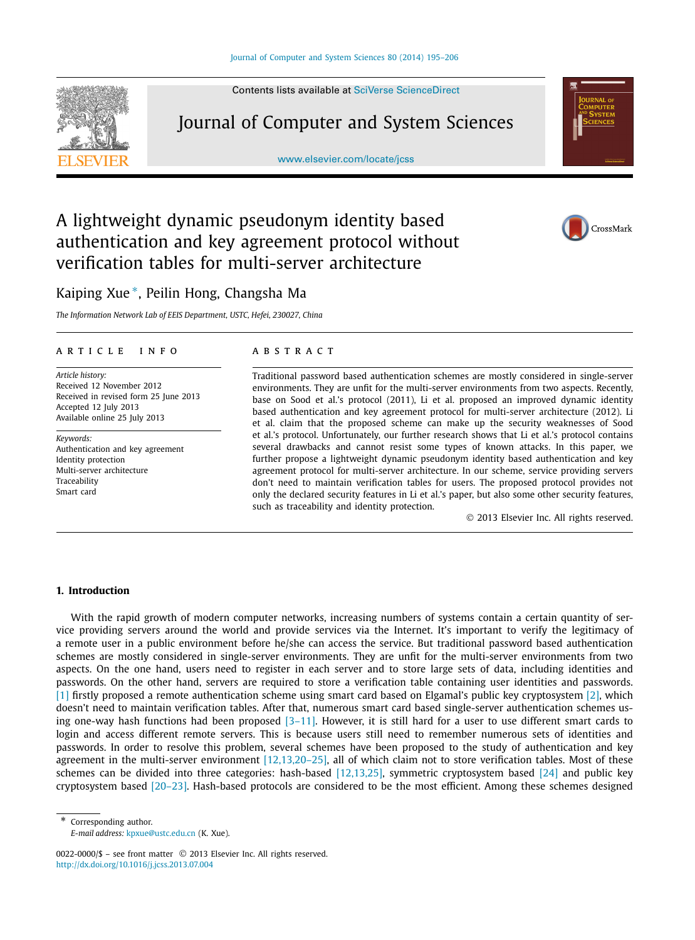Contents lists available at [SciVerse ScienceDirect](http://www.ScienceDirect.com/)

Journal of Computer and System Sciences

[www.elsevier.com/locate/jcss](http://www.elsevier.com/locate/jcss)



# A lightweight dynamic pseudonym identity based authentication and key agreement protocol without verification tables for multi-server architecture

# Kaiping Xue <sup>∗</sup>, Peilin Hong, Changsha Ma

*The Information Network Lab of EEIS Department, USTC, Hefei, 230027, China*

# article info abstract

*Article history:* Received 12 November 2012 Received in revised form 25 June 2013 Accepted 12 July 2013 Available online 25 July 2013

*Keywords:* Authentication and key agreement Identity protection Multi-server architecture Traceability Smart card

Traditional password based authentication schemes are mostly considered in single-server environments. They are unfit for the multi-server environments from two aspects. Recently, base on Sood et al.'s protocol (2011), Li et al. proposed an improved dynamic identity based authentication and key agreement protocol for multi-server architecture (2012). Li et al. claim that the proposed scheme can make up the security weaknesses of Sood et al.'s protocol. Unfortunately, our further research shows that Li et al.'s protocol contains several drawbacks and cannot resist some types of known attacks. In this paper, we further propose a lightweight dynamic pseudonym identity based authentication and key agreement protocol for multi-server architecture. In our scheme, service providing servers don't need to maintain verification tables for users. The proposed protocol provides not only the declared security features in Li et al.'s paper, but also some other security features, such as traceability and identity protection.

© 2013 Elsevier Inc. All rights reserved.

# **1. Introduction**

With the rapid growth of modern computer networks, increasing numbers of systems contain a certain quantity of service providing servers around the world and provide services via the Internet. It's important to verify the legitimacy of a remote user in a public environment before he/she can access the service. But traditional password based authentication schemes are mostly considered in single-server environments. They are unfit for the multi-server environments from two aspects. On the one hand, users need to register in each server and to store large sets of data, including identities and passwords. On the other hand, servers are required to store a verification table containing user identities and passwords. [\[1\]](#page-11-0) firstly proposed a remote authentication scheme using smart card based on Elgamal's public key cryptosystem [\[2\],](#page-11-0) which doesn't need to maintain verification tables. After that, numerous smart card based single-server authentication schemes using one-way hash functions had been proposed  $[3-11]$ . However, it is still hard for a user to use different smart cards to login and access different remote servers. This is because users still need to remember numerous sets of identities and passwords. In order to resolve this problem, several schemes have been proposed to the study of authentication and key agreement in the multi-server environment [\[12,13,20–25\],](#page-11-0) all of which claim not to store verification tables. Most of these schemes can be divided into three categories: hash-based [\[12,13,25\],](#page-11-0) symmetric cryptosystem based [\[24\]](#page-11-0) and public key cryptosystem based [\[20–23\].](#page-11-0) Hash-based protocols are considered to be the most efficient. Among these schemes designed

Corresponding author. *E-mail address:* [kpxue@ustc.edu.cn](mailto:kpxue@ustc.edu.cn) (K. Xue).





<sup>0022-0000/\$ –</sup> see front matter © 2013 Elsevier Inc. All rights reserved. <http://dx.doi.org/10.1016/j.jcss.2013.07.004>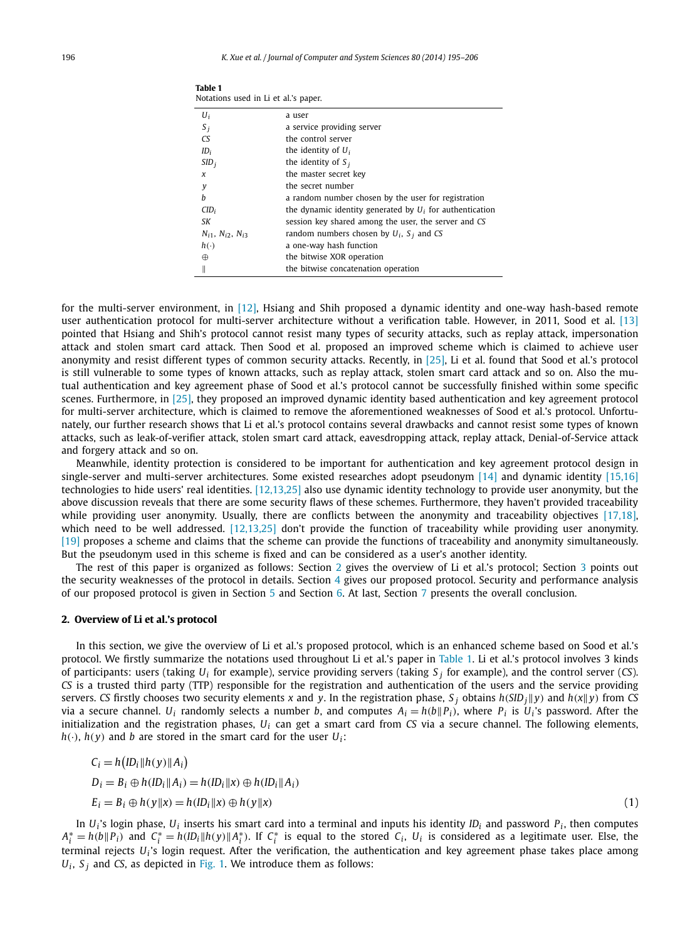| Notations used in Li et al.'s paper. |                                                            |  |  |
|--------------------------------------|------------------------------------------------------------|--|--|
| $U_i$                                | a user                                                     |  |  |
| $S_i$                                | a service providing server                                 |  |  |
| CS                                   | the control server                                         |  |  |
| $ID_i$                               | the identity of $U_i$                                      |  |  |
| SID <sub>i</sub>                     | the identity of $S_i$                                      |  |  |
| x                                    | the master secret key                                      |  |  |
| y                                    | the secret number                                          |  |  |
| h                                    | a random number chosen by the user for registration        |  |  |
| CID <sub>i</sub>                     | the dynamic identity generated by $U_i$ for authentication |  |  |
| SΚ                                   | session key shared among the user, the server and CS       |  |  |
| $N_{i1}$ , $N_{i2}$ , $N_{i3}$       | random numbers chosen by $U_i$ , $S_i$ and CS              |  |  |
| $h(\cdot)$                           | a one-way hash function                                    |  |  |
| ⊕                                    | the bitwise XOR operation                                  |  |  |
|                                      | the bitwise concatenation operation                        |  |  |

for the multi-server environment, in [\[12\],](#page-11-0) Hsiang and Shih proposed a dynamic identity and one-way hash-based remote user authentication protocol for multi-server architecture without a verification table. However, in 2011, Sood et al. [\[13\]](#page-11-0) pointed that Hsiang and Shih's protocol cannot resist many types of security attacks, such as replay attack, impersonation attack and stolen smart card attack. Then Sood et al. proposed an improved scheme which is claimed to achieve user anonymity and resist different types of common security attacks. Recently, in [\[25\],](#page-11-0) Li et al. found that Sood et al.'s protocol is still vulnerable to some types of known attacks, such as replay attack, stolen smart card attack and so on. Also the mutual authentication and key agreement phase of Sood et al.'s protocol cannot be successfully finished within some specific scenes. Furthermore, in [\[25\],](#page-11-0) they proposed an improved dynamic identity based authentication and key agreement protocol for multi-server architecture, which is claimed to remove the aforementioned weaknesses of Sood et al.'s protocol. Unfortunately, our further research shows that Li et al.'s protocol contains several drawbacks and cannot resist some types of known attacks, such as leak-of-verifier attack, stolen smart card attack, eavesdropping attack, replay attack, Denial-of-Service attack and forgery attack and so on.

Meanwhile, identity protection is considered to be important for authentication and key agreement protocol design in single-server and multi-server architectures. Some existed researches adopt pseudonym [\[14\]](#page-11-0) and dynamic identity [\[15,16\]](#page-11-0) technologies to hide users' real identities. [\[12,13,25\]](#page-11-0) also use dynamic identity technology to provide user anonymity, but the above discussion reveals that there are some security flaws of these schemes. Furthermore, they haven't provided traceability while providing user anonymity. Usually, there are conflicts between the anonymity and traceability objectives [\[17,18\],](#page-11-0) which need to be well addressed. [\[12,13,25\]](#page-11-0) don't provide the function of traceability while providing user anonymity. [\[19\]](#page-11-0) proposes a scheme and claims that the scheme can provide the functions of traceability and anonymity simultaneously. But the pseudonym used in this scheme is fixed and can be considered as a user's another identity.

The rest of this paper is organized as follows: Section 2 gives the overview of Li et al.'s protocol; Section [3](#page-3-0) points out the security weaknesses of the protocol in details. Section [4](#page-5-0) gives our proposed protocol. Security and performance analysis of our proposed protocol is given in Section [5](#page-8-0) and Section [6.](#page-9-0) At last, Section [7](#page-10-0) presents the overall conclusion.

# **2. Overview of Li et al.'s protocol**

In this section, we give the overview of Li et al.'s proposed protocol, which is an enhanced scheme based on Sood et al.'s protocol. We firstly summarize the notations used throughout Li et al.'s paper in Table 1. Li et al.'s protocol involves 3 kinds of participants: users (taking  $U_i$  for example), service providing servers (taking  $S_i$  for example), and the control server (*CS*). *CS* is a trusted third party (TTP) responsible for the registration and authentication of the users and the service providing servers. CS firstly chooses two security elements x and y. In the registration phase, S<sub>i</sub> obtains  $h(SID_i||y)$  and  $h(x||y)$  from CS via a secure channel.  $U_i$  randomly selects a number *b*, and computes  $A_i = h(b||P_i)$ , where  $P_i$  is  $U_i$ 's password. After the initialization and the registration phases, *Ui* can get a smart card from *CS* via a secure channel. The following elements,  $h(\cdot)$ ,  $h(\nu)$  and *b* are stored in the smart card for the user  $U_i$ :

$$
C_i = h\big( ID_i || h(y) || A_i \big)
$$
  
\n
$$
D_i = B_i \oplus h\big( ID_i || A_i \big) = h\big( ID_i || x \big) \oplus h\big( ID_i || A_i \big)
$$
  
\n
$$
E_i = B_i \oplus h\big( y || x \big) = h\big( ID_i || x \big) \oplus h\big( y || x \big)
$$
\n(1)

In  $U_i$ 's login phase,  $U_i$  inserts his smart card into a terminal and inputs his identity  $ID_i$  and password  $P_i$ , then computes  $A_i^* = h(b||P_i)$  and  $C_i^* = h(ID_i||h(y)||A_i^*)$ . If  $C_i^*$  is equal to the stored  $C_i$ ,  $U_i$  is considered as a legitimate user. Else, the terminal rejects  $U_i$ 's login request. After the verification, the authentication and key agreement phase takes place among  $U_i$ ,  $S_i$  and *CS*, as depicted in [Fig. 1.](#page-2-0) We introduce them as follows:

**Table 1**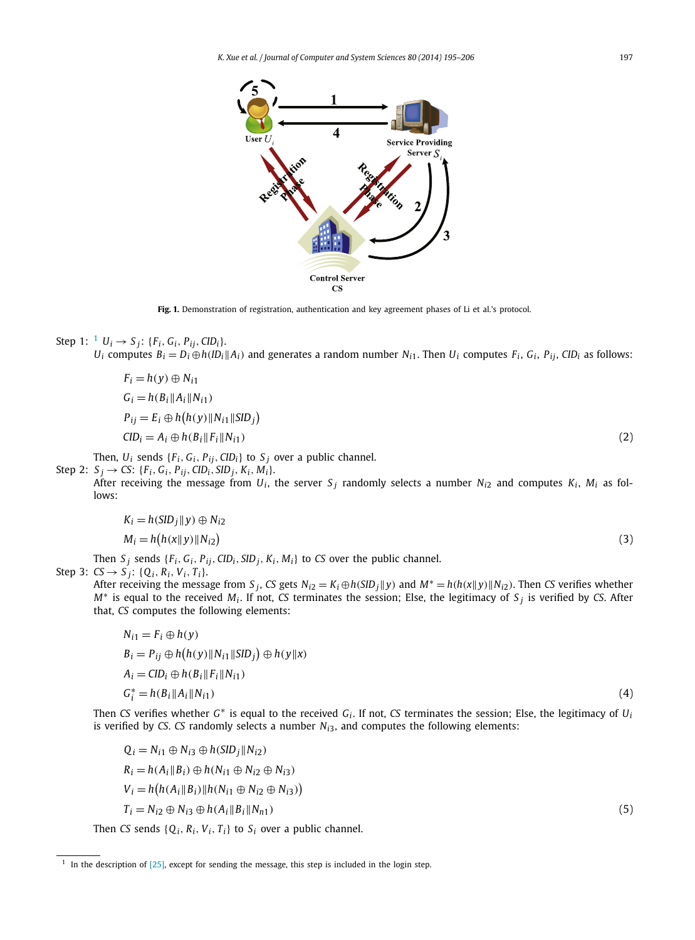<span id="page-2-0"></span>

Fig. 1. Demonstration of registration, authentication and key agreement phases of Li et al.'s protocol.

Step 1: 
$$
^1 U_i \rightarrow S_j
$$
:  $\{F_i, G_i, P_{ij}, CID_i\}$ .

*U<sub>i</sub>* computes  $B_i = D_i \oplus h (|D_i||A_i)$  and generates a random number  $N_{i1}$ . Then  $U_i$  computes  $F_i$ ,  $G_i$ ,  $P_{ij}$ ,  $CID_i$  as follows:

$$
F_i = h(y) \oplus N_{i1}
$$
  
\n
$$
G_i = h(B_i || A_i || N_{i1})
$$
  
\n
$$
P_{ij} = E_i \oplus h(h(y) || N_{i1} || SID_j)
$$
  
\n
$$
CID_i = A_i \oplus h(B_i || F_i || N_{i1})
$$
\n(2)

Then,  $U_i$  sends  $\{F_i, G_i, P_{ij}, CID_i\}$  to  $S_j$  over a public channel.

 $Step 2: S_j \rightarrow CS: \{F_i, G_i, P_{ij}, CID_i, SID_j, K_i, M_i\}.$ 

After receiving the message from  $U_i$ , the server  $S_i$  randomly selects a number  $N_{i2}$  and computes  $K_i$ ,  $M_i$  as follows:

$$
K_i = h(SID_j || y) \oplus N_{i2}
$$
  
\n
$$
M_i = h(h(x || y) || N_{i2})
$$
\n(3)

Then  $S_j$  sends  $\{F_i, G_i, P_{ij}, CID_i, SID_j, K_i, M_i\}$  to *CS* over the public channel.  $Step 3: CS \rightarrow S_i: \{Q_i, R_i, V_i, T_i\}.$ 

After receiving the message from  $S_i$ , CS gets  $N_{i2} = K_i \oplus h(SID_i||y)$  and  $M^* = h(h(x||y)||N_{i2})$ . Then CS verifies whether *<sup>M</sup>*<sup>∗</sup> is equal to the received *Mi* . If not, *CS* terminates the session; Else, the legitimacy of *<sup>S</sup> <sup>j</sup>* is verified by *CS*. After that, *CS* computes the following elements:

$$
N_{i1} = F_i \oplus h(y)
$$
  
\n
$$
B_i = P_{ij} \oplus h(h(y) \| N_{i1} \| SID_j) \oplus h(y \| x)
$$
  
\n
$$
A_i = CID_i \oplus h(B_i \| F_i \| N_{i1})
$$
  
\n
$$
G_i^* = h(B_i \| A_i \| N_{i1})
$$
\n(4)

Then *CS* verifies whether *<sup>G</sup>*<sup>∗</sup> is equal to the received *Gi* . If not, *CS* terminates the session; Else, the legitimacy of *Ui* is verified by *CS*. *CS* randomly selects a number  $N_{i3}$ , and computes the following elements:

$$
Q_i = N_{i1} \oplus N_{i3} \oplus h(SID_j||N_{i2})
$$
  
\n
$$
R_i = h(A_i||B_i) \oplus h(N_{i1} \oplus N_{i2} \oplus N_{i3})
$$
  
\n
$$
V_i = h(h(A_i||B_i)||h(N_{i1} \oplus N_{i2} \oplus N_{i3}))
$$
  
\n
$$
T_i = N_{i2} \oplus N_{i3} \oplus h(A_i||B_i||N_{n1})
$$
\n(5)

Then *CS* sends  $\{Q_i, R_i, V_i, T_i\}$  to  $S_i$  over a public channel.

 $1$  In the description of [\[25\],](#page-11-0) except for sending the message, this step is included in the login step.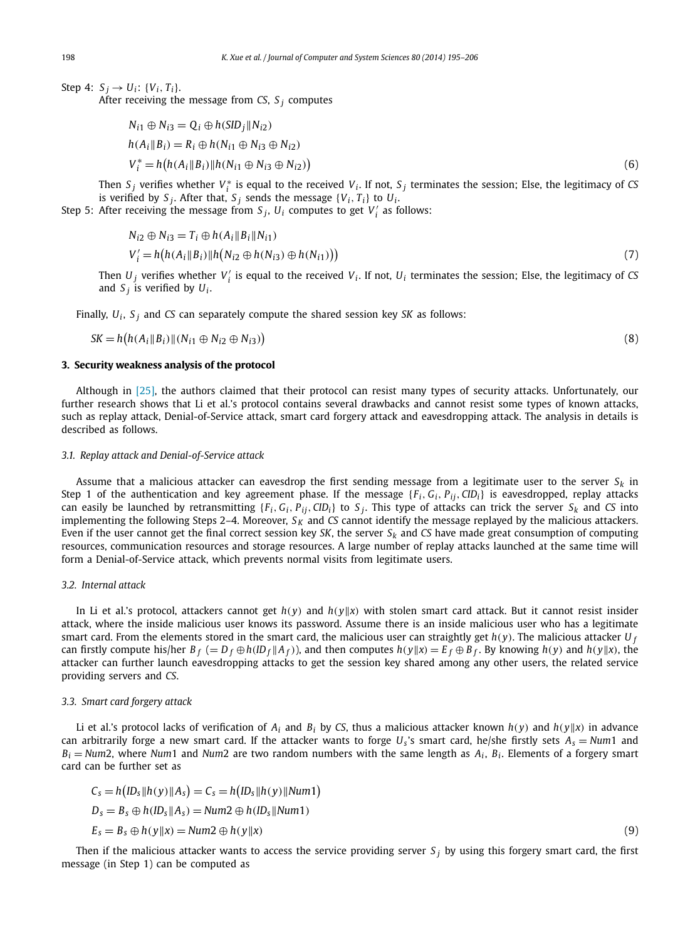<span id="page-3-0"></span>Step 4:  $S_i \to U_i$ : {*V<sub>i</sub>*, *T<sub>i</sub>*}.

After receiving the message from *CS*, *S <sup>j</sup>* computes

$$
N_{i1} \oplus N_{i3} = Q_i \oplus h(SID_j || N_{i2})
$$
  
\n
$$
h(A_i || B_i) = R_i \oplus h(N_{i1} \oplus N_{i3} \oplus N_{i2})
$$
  
\n
$$
V_i^* = h(h(A_i || B_i) || h(N_{i1} \oplus N_{i3} \oplus N_{i2}))
$$
\n(6)

Then  $S_j$  verifies whether  $V_i^*$  is equal to the received  $V_i$ . If not,  $S_j$  terminates the session; Else, the legitimacy of *CS* is verified by  $S_j$ . After that,  $S_j$  sends the message  $\{V_i, T_i\}$  to  $U_i$ .

Step 5: After receiving the message from  $S_j$ ,  $U_i$  computes to get  $V'_i$  as follows:

$$
N_{i2} \oplus N_{i3} = T_i \oplus h(A_i \| B_i \| N_{i1})
$$
  
\n
$$
V'_i = h(h(A_i \| B_i) \| h(N_{i2} \oplus h(N_{i3}) \oplus h(N_{i1})))
$$
\n(7)

Then  $U_j$  verifies whether  $V'_i$  is equal to the received  $V_i$ . If not,  $U_i$  terminates the session; Else, the legitimacy of *CS* and  $S_i$  is verified by  $U_i$ .

Finally, *Ui* , *S <sup>j</sup>* and *CS* can separately compute the shared session key *SK* as follows:

$$
SK = h(h(A_i||B_i)||(N_{i1} \oplus N_{i2} \oplus N_{i3}))
$$
\n(8)

#### **3. Security weakness analysis of the protocol**

Although in [\[25\],](#page-11-0) the authors claimed that their protocol can resist many types of security attacks. Unfortunately, our further research shows that Li et al.'s protocol contains several drawbacks and cannot resist some types of known attacks, such as replay attack, Denial-of-Service attack, smart card forgery attack and eavesdropping attack. The analysis in details is described as follows.

## *3.1. Replay attack and Denial-of-Service attack*

Assume that a malicious attacker can eavesdrop the first sending message from a legitimate user to the server  $S_k$  in Step 1 of the authentication and key agreement phase. If the message  $\{F_i, G_i, P_{ij}, CID_i\}$  is eavesdropped, replay attacks can easily be launched by retransmitting  $\{F_i, G_i, P_{ij}, CID_i\}$  to  $S_j$ . This type of attacks can trick the server  $S_k$  and *CS* into implementing the following Steps 2–4. Moreover,  $S_K$  and *CS* cannot identify the message replayed by the malicious attackers. Even if the user cannot get the final correct session key *SK*, the server  $S_k$  and *CS* have made great consumption of computing resources, communication resources and storage resources. A large number of replay attacks launched at the same time will form a Denial-of-Service attack, which prevents normal visits from legitimate users.

# *3.2. Internal attack*

In Li et al.'s protocol, attackers cannot get  $h(y)$  and  $h(y||x)$  with stolen smart card attack. But it cannot resist insider attack, where the inside malicious user knows its password. Assume there is an inside malicious user who has a legitimate smart card. From the elements stored in the smart card, the malicious user can straightly get  $h(y)$ . The malicious attacker  $U_f$ can firstly compute his/her  $B_f (= D_f \oplus h(10_f || A_f))$ , and then computes  $h(y || x) = E_f \oplus B_f$ . By knowing  $h(y)$  and  $h(y || x)$ , the attacker can further launch eavesdropping attacks to get the session key shared among any other users, the related service providing servers and *CS*.

#### *3.3. Smart card forgery attack*

Li et al.'s protocol lacks of verification of  $A_i$  and  $B_i$  by CS, thus a malicious attacker known  $h(y)$  and  $h(y||x)$  in advance can arbitrarily forge a new smart card. If the attacker wants to forge  $U_s$ 's smart card, he/she firstly sets  $A_s = Num1$  and  $B_i = Num2$ , where *Num*1 and *Num2* are two random numbers with the same length as  $A_i$ ,  $B_i$ . Elements of a forgery smart card can be further set as

$$
C_s = h\big(1D_s \|\hbar(y)\|A_s\big) = C_s = h\big(1D_s \|\hbar(y)\|Num1\big)
$$
  
\n
$$
D_s = B_s \oplus h(I D_s \|\hbar(s) = Num2 \oplus h(I D_s \|\hbar (I m1))
$$
  
\n
$$
E_s = B_s \oplus h(y \|\hbar(s) = Num2 \oplus h(y \|\hbar(s))
$$
\n(9)

Then if the malicious attacker wants to access the service providing server  $S_j$  by using this forgery smart card, the first message (in Step 1) can be computed as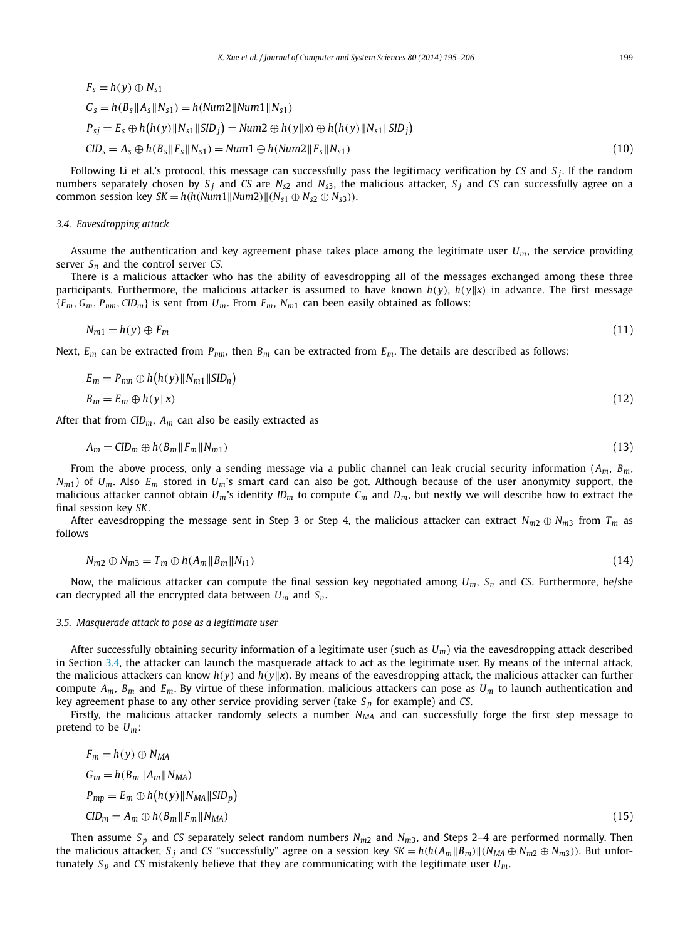<span id="page-4-0"></span>
$$
F_s = h(y) \oplus N_{s1}
$$
  
\n
$$
G_s = h(B_s||A_s||N_{s1}) = h(Num2||Num1||N_{s1})
$$
  
\n
$$
P_{sj} = E_s \oplus h(h(y)||N_{s1}||SID_j) = Num2 \oplus h(y||x) \oplus h(h(y)||N_{s1}||SID_j)
$$
  
\n
$$
CID_s = A_s \oplus h(B_s||F_s||N_{s1}) = Num1 \oplus h(Num2||F_s||N_{s1})
$$
\n(10)

Following Li et al.'s protocol, this message can successfully pass the legitimacy verification by *CS* and *S <sup>j</sup>*. If the random numbers separately chosen by *S <sup>j</sup>* and *CS* are *Ns*<sup>2</sup> and *Ns*3, the malicious attacker, *S <sup>j</sup>* and *CS* can successfully agree on a common session key *SK* =  $h(h(Num1||Num2)||(N_{s1} \oplus N_{s2} \oplus N_{s3}))$ .

#### *3.4. Eavesdropping attack*

Assume the authentication and key agreement phase takes place among the legitimate user *Um*, the service providing server *Sn* and the control server *CS*.

There is a malicious attacker who has the ability of eavesdropping all of the messages exchanged among these three participants. Furthermore, the malicious attacker is assumed to have known  $h(y)$ ,  $h(y||x)$  in advance. The first message  ${F_m, G_m, P_{mn}, CID_m}$  is sent from  $U_m$ . From  $F_m, N_{m1}$  can been easily obtained as follows:

$$
N_{m1} = h(y) \oplus F_m \tag{11}
$$

Next, *Em* can be extracted from *Pmn*, then *Bm* can be extracted from *Em*. The details are described as follows:

$$
E_m = P_{mn} \oplus h(h(y) \| N_{m1} \| SID_n)
$$
  
\n
$$
B_m = E_m \oplus h(y \| x)
$$
\n(12)

After that from *CIDm*, *Am* can also be easily extracted as

$$
A_m = ClD_m \oplus h(B_m \|F_m\|N_{m1})
$$
\n<sup>(13)</sup>

From the above process, only a sending message via a public channel can leak crucial security information (*Am*, *Bm*, *Nm*1) of *Um*. Also *Em* stored in *Um*'s smart card can also be got. Although because of the user anonymity support, the malicious attacker cannot obtain  $U_m$ 's identity  $ID_m$  to compute  $C_m$  and  $D_m$ , but nextly we will describe how to extract the final session key *SK*.

After eavesdropping the message sent in Step 3 or Step 4, the malicious attacker can extract  $N_{m2} \oplus N_{m3}$  from  $T_m$  as follows

$$
N_{m2} \oplus N_{m3} = T_m \oplus h(A_m \|B_m \|N_{i1})
$$
\n<sup>(14)</sup>

Now, the malicious attacker can compute the final session key negotiated among *Um*, *Sn* and *CS*. Furthermore, he/she can decrypted all the encrypted data between *Um* and *Sn*.

#### *3.5. Masquerade attack to pose as a legitimate user*

After successfully obtaining security information of a legitimate user (such as *Um*) via the eavesdropping attack described in Section 3.4, the attacker can launch the masquerade attack to act as the legitimate user. By means of the internal attack, the malicious attackers can know  $h(y)$  and  $h(y||x)$ . By means of the eavesdropping attack, the malicious attacker can further compute *Am*, *Bm* and *Em*. By virtue of these information, malicious attackers can pose as *Um* to launch authentication and key agreement phase to any other service providing server (take *S <sup>p</sup>* for example) and *CS*.

Firstly, the malicious attacker randomly selects a number  $N_{MA}$  and can successfully forge the first step message to pretend to be *Um*:

$$
F_m = h(y) \oplus N_{MA}
$$
  
\n
$$
G_m = h(B_m || A_m || N_{MA})
$$
  
\n
$$
P_{mp} = E_m \oplus h(h(y) || N_{MA} || SID_p)
$$
  
\n
$$
CID_m = A_m \oplus h(B_m || F_m || N_{MA})
$$
\n(15)

Then assume  $S_p$  and *CS* separately select random numbers  $N_{m2}$  and  $N_{m3}$ , and Steps 2–4 are performed normally. Then the malicious attacker, S<sub>i</sub> and CS "successfully" agree on a session key  $SK = h(h(A_m||B_m)||(N_{MA} \oplus N_{m2} \oplus N_{m3}))$ . But unfortunately  $S_p$  and *CS* mistakenly believe that they are communicating with the legitimate user  $U_m$ .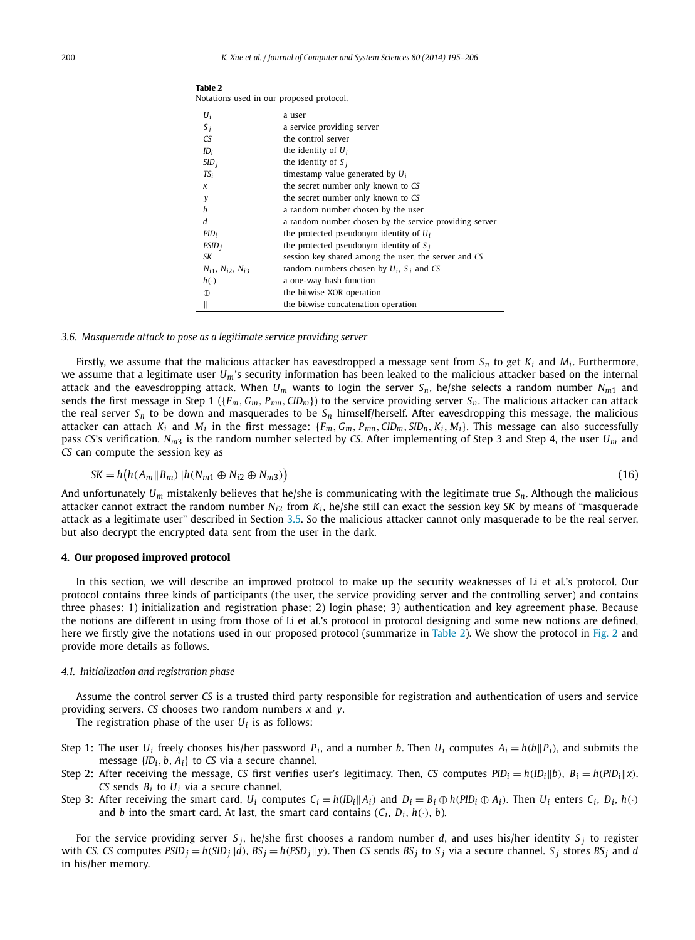|                                | notations asea in oar proposea protocon                |
|--------------------------------|--------------------------------------------------------|
| $U_i$                          | a user                                                 |
| $S_i$                          | a service providing server                             |
| CS                             | the control server                                     |
| $ID_i$                         | the identity of $U_i$                                  |
| SID <sub>i</sub>               | the identity of $S_i$                                  |
| $TS_i$                         | timestamp value generated by $U_i$                     |
| $\boldsymbol{\chi}$            | the secret number only known to CS                     |
| y                              | the secret number only known to CS                     |
| h                              | a random number chosen by the user                     |
| d                              | a random number chosen by the service providing server |
| PID <sub>i</sub>               | the protected pseudonym identity of $U_i$              |
| $PSID_i$                       | the protected pseudonym identity of $S_i$              |
| SK                             | session key shared among the user, the server and CS   |
| $N_{i1}$ , $N_{i2}$ , $N_{i3}$ | random numbers chosen by $U_i$ , $S_i$ and CS          |
| $h(\cdot)$                     | a one-way hash function                                |
| $\oplus$                       | the bitwise XOR operation                              |
| II                             | the bitwise concatenation operation                    |

| TADIE 2                                  |  |  |  |
|------------------------------------------|--|--|--|
| Notations used in our proposed protocol. |  |  |  |

#### *3.6. Masquerade attack to pose as a legitimate service providing server*

<span id="page-5-0"></span>**Table 2**

Firstly, we assume that the malicious attacker has eavesdropped a message sent from  $S_n$  to get  $K_i$  and  $M_i$ . Furthermore, we assume that a legitimate user *Um*'s security information has been leaked to the malicious attacker based on the internal attack and the eavesdropping attack. When  $U_m$  wants to login the server  $S_n$ , he/she selects a random number  $N_{m1}$  and sends the first message in Step 1 ( ${F_m, G_m, P_{mn}, CID_m}$ ) to the service providing server  $S_n$ . The malicious attacker can attack the real server  $S_n$  to be down and masquerades to be  $S_n$  himself/herself. After eavesdropping this message, the malicious attacker can attach  $K_i$  and  $M_i$  in the first message:  $\{F_m, G_m, P_{mn}, CID_m, SID_n, K_i, M_i\}$ . This message can also successfully pass *CS*'s verification. *Nm*<sup>3</sup> is the random number selected by *CS*. After implementing of Step 3 and Step 4, the user *Um* and *CS* can compute the session key as

$$
SK = h\big(h(A_m \parallel B_m)\parallel h(N_{m1} \oplus N_{i2} \oplus N_{m3})\big) \tag{16}
$$

And unfortunately *Um* mistakenly believes that he/she is communicating with the legitimate true *Sn*. Although the malicious attacker cannot extract the random number  $N_{i2}$  from  $K_i$ , he/she still can exact the session key *SK* by means of "masquerade" attack as a legitimate user" described in Section [3.5.](#page-4-0) So the malicious attacker cannot only masquerade to be the real server, but also decrypt the encrypted data sent from the user in the dark.

# **4. Our proposed improved protocol**

In this section, we will describe an improved protocol to make up the security weaknesses of Li et al.'s protocol. Our protocol contains three kinds of participants (the user, the service providing server and the controlling server) and contains three phases: 1) initialization and registration phase; 2) login phase; 3) authentication and key agreement phase. Because the notions are different in using from those of Li et al.'s protocol in protocol designing and some new notions are defined, here we firstly give the notations used in our proposed protocol (summarize in Table 2). We show the protocol in [Fig. 2](#page-6-0) and provide more details as follows.

# *4.1. Initialization and registration phase*

Assume the control server *CS* is a trusted third party responsible for registration and authentication of users and service providing servers. *CS* chooses two random numbers *x* and *y*.

The registration phase of the user  $U_i$  is as follows:

- Step 1: The user *U<sub>i</sub>* freely chooses his/her password  $P_i$ , and a number *b*. Then  $U_i$  computes  $A_i = h(b||P_i)$ , and submits the message  ${ID_i, b, A_i}$  to *CS* via a secure channel.
- Step 2: After receiving the message, *CS* first verifies user's legitimacy. Then, *CS* computes  $PID_i = h(ID_i||b)$ ,  $B_i = h(PD_i||x)$ . *CS* sends  $B_i$  to  $U_i$  via a secure channel.
- Step 3: After receiving the smart card,  $U_i$  computes  $C_i = h(ID_i||A_i)$  and  $D_i = B_i \oplus h(PID_i \oplus A_i)$ . Then  $U_i$  enters  $C_i$ ,  $D_i$ ,  $h(\cdot)$ and *b* into the smart card. At last, the smart card contains  $(C_i, D_i, h(\cdot), b)$ .

For the service providing server  $S_i$ , he/she first chooses a random number *d*, and uses his/her identity  $S_i$  to register with CS. CS computes  $PSID_j = h(SID_j||d)$ ,  $BS_j = h(PSD_j||y)$ . Then CS sends  $BS_j$  to  $S_j$  via a secure channel.  $S_j$  stores  $BS_j$  and d in his/her memory.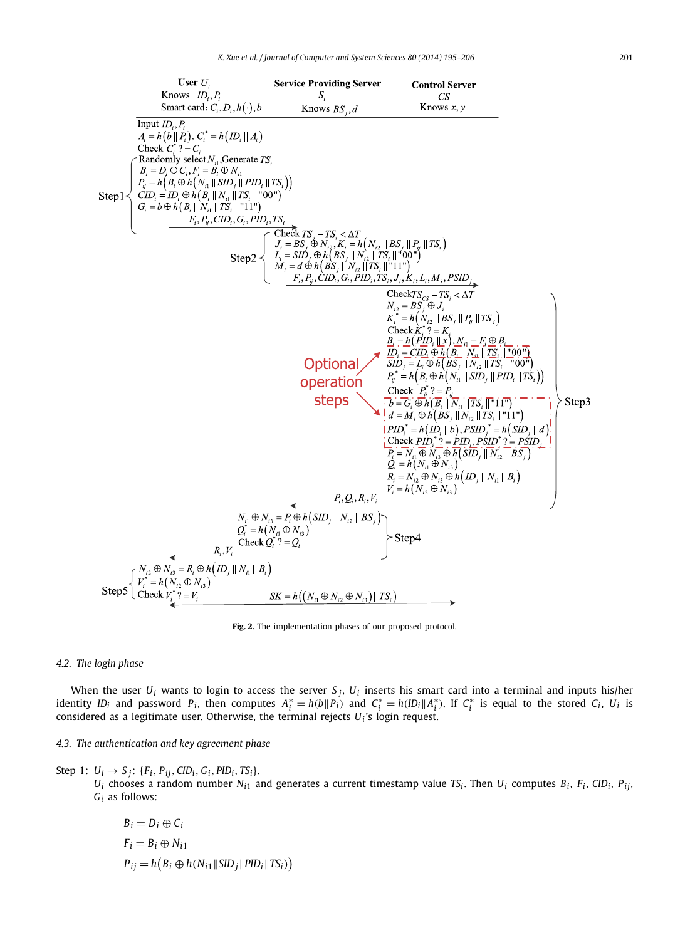<span id="page-6-0"></span>

**Fig. 2.** The implementation phases of our proposed protocol.

# *4.2. The login phase*

When the user  $U_i$  wants to login to access the server  $S_j$ ,  $U_i$  inserts his smart card into a terminal and inputs his/her identity ID<sub>i</sub> and password P<sub>i</sub>, then computes  $A_i^* = h(b||P_i)$  and  $C_i^* = h(ID_i||A_i^*)$ . If  $C_i^*$  is equal to the stored  $C_i$ , U<sub>i</sub> is considered as a legitimate user. Otherwise, the terminal rejects *Ui* 's login request.

*4.3. The authentication and key agreement phase*

Step 1:  $U_i \rightarrow S_j$ : { $F_i$ ,  $P_{ij}$ ,  $CID_i$ ,  $G_i$ ,  $PID_i$ ,  $TS_i$ }.

 $U_i$  chooses a random number  $N_{i1}$  and generates a current timestamp value *TS<sub>i</sub>*. Then  $U_i$  computes  $B_i$ ,  $F_i$ , *CID<sub>i</sub>*,  $P_{ij}$ , *Gi* as follows:

$$
B_i = D_i \oplus C_i
$$
  
\n
$$
F_i = B_i \oplus N_{i1}
$$
  
\n
$$
P_{ij} = h(B_i \oplus h(N_{i1} || SID_j || PID_i || TS_i))
$$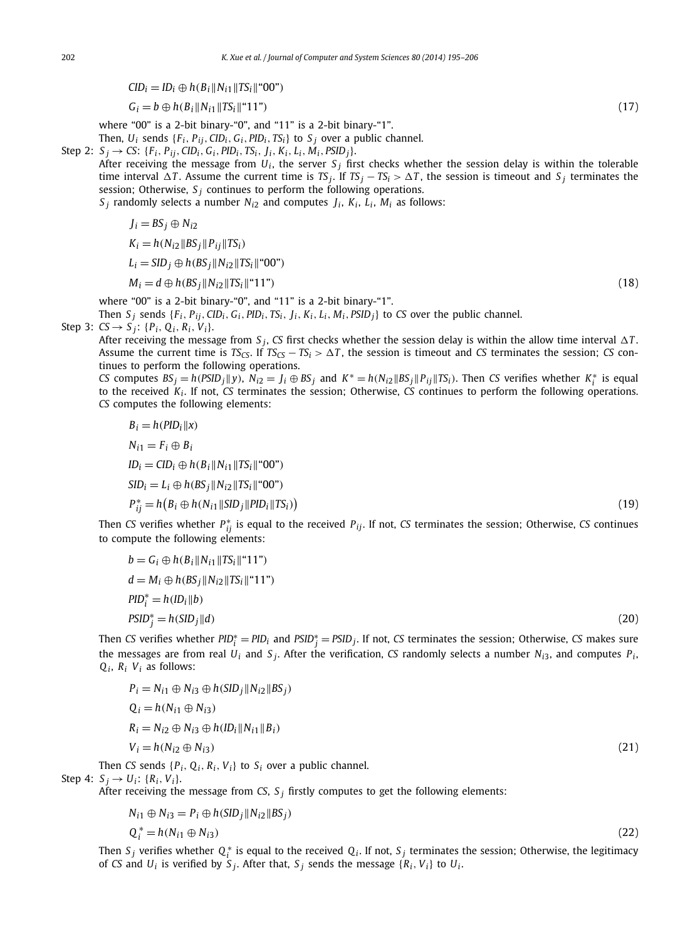<span id="page-7-0"></span> $CID_i = ID_i \oplus h(B_i || N_{i1} || TS_i || "00")$ 

 $G_i = b \oplus h(B_i \| N_{i1} \| TS_i \|$ "11") (17)

where "00" is a 2-bit binary-"0", and "11" is a 2-bit binary-"1".

Then,  $U_i$  sends  $\{F_i, P_{ij}, CID_i, G_i, PID_i, TS_i\}$  to  $S_i$  over a public channel.

- Step 2:  $S_i \rightarrow CS$ : {F<sub>i</sub>, P<sub>ij</sub>, CID<sub>i</sub>, G<sub>i</sub>, PID<sub>i</sub>, TS<sub>i</sub>, J<sub>i</sub>, K<sub>i</sub>, L<sub>i</sub>, M<sub>i</sub>, PSID<sub>i</sub>}.
	- After receiving the message from  $U_i$ , the server  $S_i$  first checks whether the session delay is within the tolerable time interval  $\Delta T$ . Assume the current time is  $TS_j$ . If  $TS_j - TS_i > \Delta T$ , the session is timeout and  $S_j$  terminates the session; Otherwise,  $S_i$  continues to perform the following operations.

 $S_i$  randomly selects a number  $N_{i2}$  and computes  $J_i$ ,  $K_i$ ,  $L_i$ ,  $M_i$  as follows:

$$
J_i = BS_j \oplus N_{i2}
$$
  

$$
K_i = h(N_{i2} || BS_j || P_{ij} || TS_i)
$$

$$
L_i = \frac{SID_i \oplus h(BS_i||N_{i2}||TS_i||^200^2)}{}
$$

$$
M_i = d \oplus h(BS_j \| N_{i2} \| TS_i \| ``11")
$$
\n(18)

where "00" is a 2-bit binary-"0", and "11" is a 2-bit binary-"1".

Then  $S_j$  sends  $\{F_i, P_{ij}, CID_i, G_i, PID_i, TS_i, J_i, K_i, L_i, M_i, PSD_j\}$  to CS over the public channel.

Step 3: 
$$
CS \rightarrow S_j
$$
: { $P_i$ ,  $Q_i$ ,  $R_i$ ,  $V_i$ }.

After receiving the message from  $S_j$ , CS first checks whether the session delay is within the allow time interval  $\Delta T$ . Assume the current time is  $TS_{CS}$ . If  $TS_{CS} - TS_i > \Delta T$ , the session is timeout and *CS* terminates the session; *CS* continues to perform the following operations.

CS computes  $BS_j = h(PSID_j || y)$ ,  $N_{i2} = J_i \oplus BS_j$  and  $K^* = h(N_{i2} || BS_j || P_{ij} || TS_i)$ . Then CS verifies whether  $K_i^*$  is equal to the received *Ki* . If not, *CS* terminates the session; Otherwise, *CS* continues to perform the following operations. *CS* computes the following elements:

$$
B_i = h(PID_i || x)
$$
  
\n
$$
N_{i1} = F_i \oplus B_i
$$
  
\n
$$
ID_i = CD_i \oplus h(B_i || N_{i1} || TS_i ||^* 00")
$$
  
\n
$$
SD_i = L_i \oplus h(B_i) || N_{i2} || TS_i ||^* 00")
$$
  
\n
$$
P_{ij}^* = h(B_i \oplus h(N_{i1} || SID_j || PID_i || TS_i))
$$
  
\nCS verifies whether  $P^*$ , is equal to the received  $P_{i1}$ . If not, CS terminates the session: Otherwise, CS continues

Then *ij* is equal to the received *Pij*. If not, *CS* terminates the session; Otherwise, *CS* continues to compute the following elements:

$$
b = G_i \oplus h(B_i || N_{i1} || TS_i ||^2 11")
$$
  
\n
$$
d = M_i \oplus h(BS_j || N_{i2} || TS_i ||^2 11")
$$
  
\n
$$
PID_i^* = h(ID_i || b)
$$
  
\n
$$
PSID_j^* = h(SID_j || d)
$$
\n(20)

*i* Then *CS* verifies whether  $PID_i^* = PID_i$  and  $PSID_j^* = PSD_j$ . If not, *CS* terminates the session; Otherwise, *CS* makes sure the messages are from real  $U_i$  and  $S_j$ . After the verification, *CS* randomly selects a number  $N_{i3}$ , and computes  $P_i$ ,  $Q_i$ ,  $R_i$   $V_i$  as follows:

$$
P_i = N_{i1} \oplus N_{i3} \oplus h(SID_j || N_{i2} || BS_j)
$$
  
\n
$$
Q_i = h(N_{i1} \oplus N_{i3})
$$
  
\n
$$
R_i = N_{i2} \oplus N_{i3} \oplus h(ID_i || N_{i1} || B_i)
$$
  
\n
$$
V_i = h(N_{i2} \oplus N_{i3})
$$
  
\nThen CS sends { $P_i$ ,  $Q_i$ ,  $R_i$ ,  $V_i$ } to  $S_i$  over a public channel. (21)

Step 4:  $S_i \rightarrow U_i$ :  $\{R_i, V_i\}$ .

After receiving the message from *CS*,  $S_j$  firstly computes to get the following elements:

$$
N_{i1} \oplus N_{i3} = P_i \oplus h(SID_j || N_{i2} || BS_j)
$$

$$
Q_i^* = h(N_{i1} \oplus N_{i3}) \tag{22}
$$

Then  $S_j$  verifies whether  $Q_i^*$  is equal to the received  $Q_i$ . If not,  $S_j$  terminates the session; Otherwise, the legitimacy of *CS* and  $U_i$  is verified by  $S_i$ . After that,  $S_i$  sends the message  $\{R_i, V_i\}$  to  $U_i$ .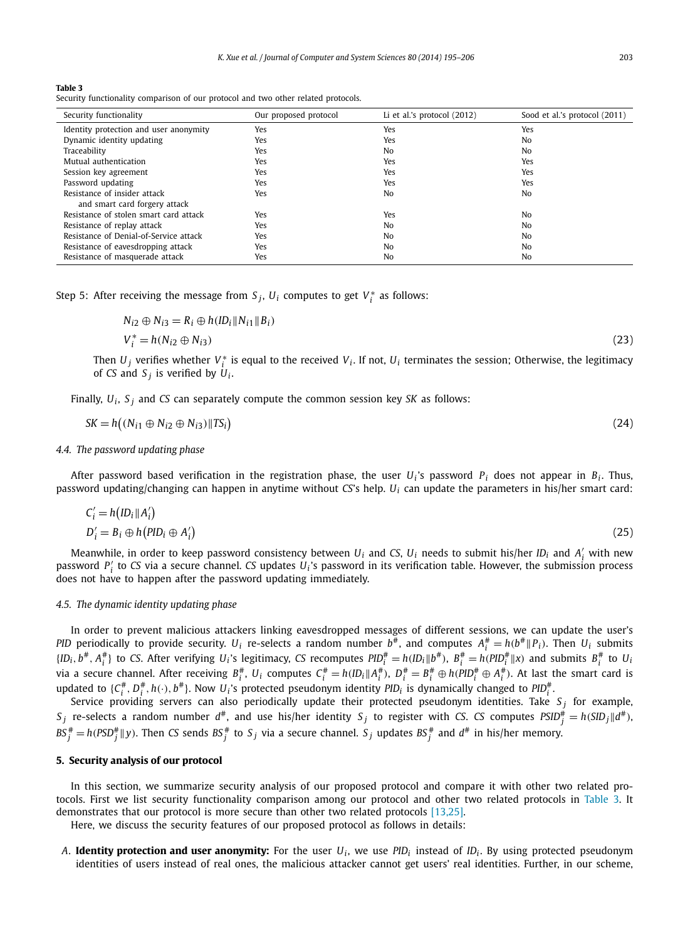#### <span id="page-8-0"></span>**Table 3**

Security functionality comparison of our protocol and two other related protocols.

| Security functionality                 | Our proposed protocol | Li et al.'s protocol $(2012)$ | Sood et al.'s protocol (2011) |
|----------------------------------------|-----------------------|-------------------------------|-------------------------------|
| Identity protection and user anonymity | Yes                   | Yes                           | Yes                           |
| Dynamic identity updating              | Yes                   | Yes                           | No                            |
| Traceability                           | Yes                   | No                            | No                            |
| Mutual authentication                  | Yes                   | Yes                           | Yes                           |
| Session key agreement                  | Yes                   | Yes                           | Yes                           |
| Password updating                      | Yes                   | Yes                           | Yes                           |
| Resistance of insider attack           | Yes                   | No                            | No                            |
| and smart card forgery attack          |                       |                               |                               |
| Resistance of stolen smart card attack | Yes                   | Yes                           | No                            |
| Resistance of replay attack            | Yes                   | No                            | No                            |
| Resistance of Denial-of-Service attack | Yes                   | No                            | N <sub>0</sub>                |
| Resistance of eavesdropping attack     | Yes                   | No                            | No                            |
| Resistance of masquerade attack        | Yes                   | No                            | No                            |

Step 5: After receiving the message from  $S_j$ ,  $U_i$  computes to get  $V_i^*$  as follows:

$$
N_{i2} \oplus N_{i3} = R_i \oplus h(ID_i | N_{i1} || B_i)
$$
  
\n
$$
V_i^* = h(N_{i2} \oplus N_{i3})
$$
\n(23)

Then  $U_j$  verifies whether  $V_i^*$  is equal to the received  $V_i$ . If not,  $U_i$  terminates the session; Otherwise, the legitimacy of *CS* and  $S_i$  is verified by  $U_i$ .

Finally, *Ui* , *S <sup>j</sup>* and *CS* can separately compute the common session key *SK* as follows:

$$
SK = h\left((N_{i1} \oplus N_{i2} \oplus N_{i3}) \| TS_i\right) \tag{24}
$$

#### *4.4. The password updating phase*

After password based verification in the registration phase, the user  $U_i$ 's password  $P_i$  does not appear in  $B_i$ . Thus, password updating/changing can happen in anytime without *CS*'s help. *Ui* can update the parameters in his/her smart card:

$$
C'_{i} = h\left( ID_{i} \mid A'_{i} \right)
$$
  
\n
$$
D'_{i} = B_{i} \oplus h\left( PID_{i} \oplus A'_{i} \right)
$$
\n(25)

Meanwhile, in order to keep password consistency between  $U_i$  and CS,  $U_i$  needs to submit his/her ID<sub>i</sub> and  $A'_i$  with new password *P <sup>i</sup>* to *CS* via a secure channel. *CS* updates *Ui* 's password in its verification table. However, the submission process does not have to happen after the password updating immediately.

# *4.5. The dynamic identity updating phase*

In order to prevent malicious attackers linking eavesdropped messages of different sessions, we can update the user's *PID* periodically to provide security.  $U_i$  re-selects a random number  $b^{\#}$ , and computes  $A_i^{\#}=h(b^{\#} \| P_i)$ . Then  $U_i$  submits  $\{ID_i, b^\#, A_i^\# \}$  to CS. After verifying  $U_i$ 's legitimacy, CS recomputes  $PID_i^\# = h(ID_i \| b^\#)$ ,  $B_i^\# = h(PID_i^\# \| x)$  and submits  $B_i^\#$  to  $U_i$ via a secure channel. After receiving  $B_i^{\#}$ ,  $U_i$  computes  $C_i^{\#} = h(D_i||A_i^{\#})$ ,  $D_i^{\#} = B_i^{\#} \oplus h(PID_i^{\#} \oplus A_i^{\#})$ . At last the smart card is updated to  $\{C^{\#}_i, D^{\#}_i, h(\cdot), b^{\#}\}$ . Now  $U_i$ 's protected pseudonym identity PID<sub>i</sub> is dynamically changed to PID $^{\#}_i$ .

Service providing servers can also periodically update their protected pseudonym identities. Take  $S_j$  for example,  $S_j$  re-selects a random number  $d^{\#}$ , and use his/her identity  $S_j$  to register with *CS*. *CS* computes  $PSID_j^{\#} = h(SID_j||d^{\#})$ ,  $BS_j^\# = h(PSD_j^\# \| y).$  Then CS sends  $BS_j^\#$  to  $S_j$  via a secure channel.  $S_j$  updates  $BS_j^\#$  and  $d^\#$  in his/her memory.

# **5. Security analysis of our protocol**

In this section, we summarize security analysis of our proposed protocol and compare it with other two related protocols. First we list security functionality comparison among our protocol and other two related protocols in Table 3. It demonstrates that our protocol is more secure than other two related protocols [\[13,25\].](#page-11-0)

Here, we discuss the security features of our proposed protocol as follows in details:

*A*. **Identity protection and user anonymity:** For the user  $U_i$ , we use  $PID_i$  instead of  $ID_i$ . By using protected pseudonym identities of users instead of real ones, the malicious attacker cannot get users' real identities. Further, in our scheme,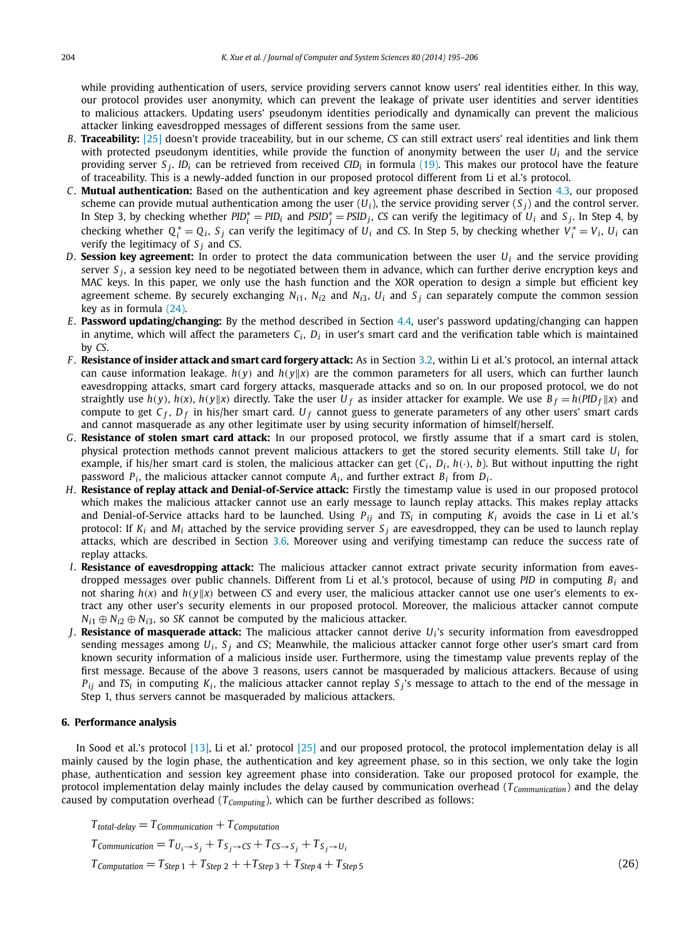<span id="page-9-0"></span>while providing authentication of users, service providing servers cannot know users' real identities either. In this way, our protocol provides user anonymity, which can prevent the leakage of private user identities and server identities to malicious attackers. Updating users' pseudonym identities periodically and dynamically can prevent the malicious attacker linking eavesdropped messages of different sessions from the same user.

- *B*. **Traceability:** [\[25\]](#page-11-0) doesn't provide traceability, but in our scheme, *CS* can still extract users' real identities and link them with protected pseudonym identities, while provide the function of anonymity between the user *Ui* and the service providing server *S <sup>j</sup>*. *IDi* can be retrieved from received *CIDi* in formula [\(19\).](#page-7-0) This makes our protocol have the feature of traceability. This is a newly-added function in our proposed protocol different from Li et al.'s protocol.
- *C*. **Mutual authentication:** Based on the authentication and key agreement phase described in Section [4.3,](#page-6-0) our proposed scheme can provide mutual authentication among the user  $(U_i)$ , the service providing server  $(S_i)$  and the control server. In Step 3, by checking whether  $PID_i^* = PID_i$  and  $PSID_j^* = PSD_j$ , CS can verify the legitimacy of  $U_i$  and  $S_j$ . In Step 4, by checking whether  $Q_i^* = Q_i$ ,  $S_j$  can verify the legitimacy of  $U_i$  and CS. In Step 5, by checking whether  $V_i^* = V_i$ ,  $U_i$  can verify the legitimacy of  $S_i$  and *CS*.
- *D*. **Session key agreement:** In order to protect the data communication between the user  $U_i$  and the service providing server *S <sup>j</sup>* , a session key need to be negotiated between them in advance, which can further derive encryption keys and MAC keys. In this paper, we only use the hash function and the XOR operation to design a simple but efficient key agreement scheme. By securely exchanging  $N_{i1}$ ,  $N_{i2}$  and  $N_{i3}$ ,  $U_i$  and  $S_i$  can separately compute the common session key as in formula [\(24\).](#page-8-0)
- *E*. **Password updating/changing:** By the method described in Section [4.4,](#page-8-0) user's password updating/changing can happen in anytime, which will affect the parameters  $C_i$ ,  $D_i$  in user's smart card and the verification table which is maintained by *CS*.
- *F* . **Resistance of insider attack and smart card forgery attack:** As in Section [3.2,](#page-3-0) within Li et al.'s protocol, an internal attack can cause information leakage.  $h(y)$  and  $h(y||x)$  are the common parameters for all users, which can further launch eavesdropping attacks, smart card forgery attacks, masquerade attacks and so on. In our proposed protocol, we do not straightly use  $h(y)$ ,  $h(x)$ ,  $h(y||x)$  directly. Take the user  $U_f$  as insider attacker for example. We use  $B_f = h(PID_f||x)$  and compute to get  $C_f$ ,  $D_f$  in his/her smart card.  $U_f$  cannot guess to generate parameters of any other users' smart cards and cannot masquerade as any other legitimate user by using security information of himself/herself.
- *G*. **Resistance of stolen smart card attack:** In our proposed protocol, we firstly assume that if a smart card is stolen, physical protection methods cannot prevent malicious attackers to get the stored security elements. Still take *Ui* for example, if his/her smart card is stolen, the malicious attacker can get  $(C_i, D_i, h(\cdot), b)$ . But without inputting the right password  $P_i$ , the malicious attacker cannot compute  $A_i$ , and further extract  $B_i$  from  $D_i$ .
- *H*. **Resistance of replay attack and Denial-of-Service attack:** Firstly the timestamp value is used in our proposed protocol which makes the malicious attacker cannot use an early message to launch replay attacks. This makes replay attacks and Denial-of-Service attacks hard to be launched. Using *Pij* and *TSi* in computing *Ki* avoids the case in Li et al.'s protocol: If *Ki* and *Mi* attached by the service providing server *S <sup>j</sup>* are eavesdropped, they can be used to launch replay attacks, which are described in Section [3.6.](#page-5-0) Moreover using and verifying timestamp can reduce the success rate of replay attacks.
- *I*. **Resistance of eavesdropping attack:** The malicious attacker cannot extract private security information from eavesdropped messages over public channels. Different from Li et al.'s protocol, because of using *PID* in computing *Bi* and not sharing *h(x)* and *h(yx)* between *CS* and every user, the malicious attacker cannot use one user's elements to extract any other user's security elements in our proposed protocol. Moreover, the malicious attacker cannot compute  $N_{i1} \oplus N_{i2} \oplus N_{i3}$ , so *SK* cannot be computed by the malicious attacker.
- *J*. **Resistance of masquerade attack:** The malicious attacker cannot derive *Ui* 's security information from eavesdropped sending messages among *Ui* , *S <sup>j</sup>* and *CS*; Meanwhile, the malicious attacker cannot forge other user's smart card from known security information of a malicious inside user. Furthermore, using the timestamp value prevents replay of the first message. Because of the above 3 reasons, users cannot be masqueraded by malicious attackers. Because of using  $P_{ij}$  and *TS<sub>i</sub>* in computing  $K_i$ , the malicious attacker cannot replay  $S_j$ 's message to attach to the end of the message in Step 1, thus servers cannot be masqueraded by malicious attackers.

# **6. Performance analysis**

In Sood et al.'s protocol [\[13\],](#page-11-0) Li et al.' protocol [\[25\]](#page-11-0) and our proposed protocol, the protocol implementation delay is all mainly caused by the login phase, the authentication and key agreement phase, so in this section, we only take the login phase, authentication and session key agreement phase into consideration. Take our proposed protocol for example, the protocol implementation delay mainly includes the delay caused by communication overhead (*T<sub>Communication</sub>*) and the delay caused by computation overhead ( $T_{Computing}$ ), which can be further described as follows:

 $T_{total-delay} = T_{Communication} + T_{Computation}$ 

 $T_{\text{Communication}} = T_{U_i \rightarrow S_i} + T_{S_i \rightarrow CS} + T_{CS \rightarrow S_i} + T_{S_i \rightarrow U_i}$ 

 $T_{Computation} = T_{Step 1} + T_{Step 2} + T_{Step 3} + T_{Step 4} + T_{Step 5}$  (26)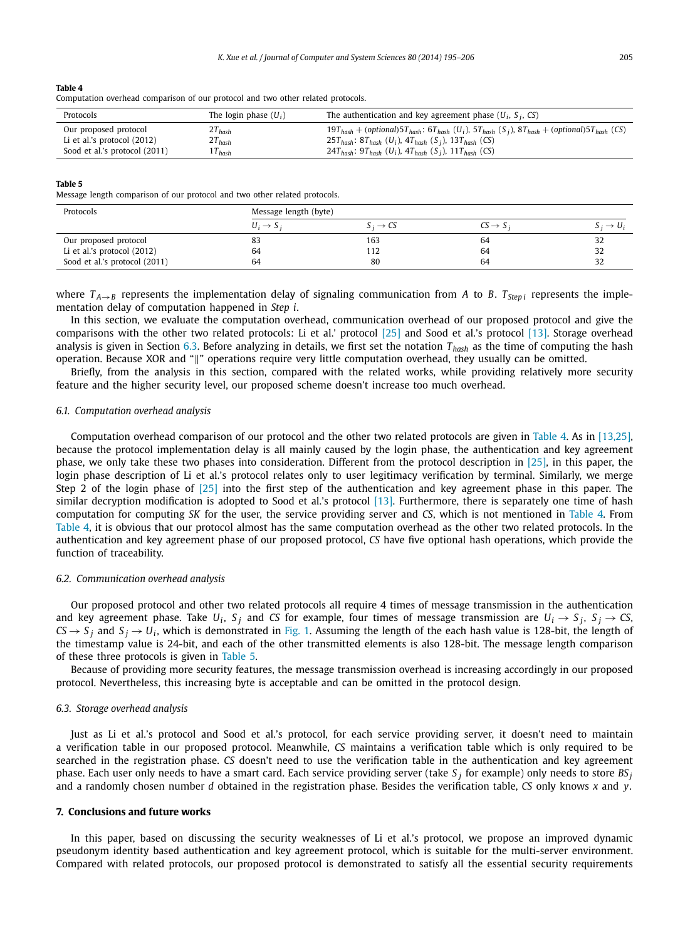#### <span id="page-10-0"></span>**Table 4**

Computation overhead comparison of our protocol and two other related protocols.

| Protocols                                              | The login phase $(U_i)$    | The authentication and key agreement phase $(U_i, S_i, CS)$                                                                                                                                                                                                             |
|--------------------------------------------------------|----------------------------|-------------------------------------------------------------------------------------------------------------------------------------------------------------------------------------------------------------------------------------------------------------------------|
| Our proposed protocol<br>Li et al.'s protocol $(2012)$ | $2T_{hash}$<br>$2T_{hash}$ | $19T_{hash} + (optional)5T_{hash}$ : $6T_{hash}$ (U <sub>i</sub> ), $5T_{hash}$ (S <sub>i</sub> ), $8T_{hash} + (optional)5T_{hash}$ (CS)<br>25T <sub>hash</sub> : 8T <sub>hash</sub> (U <sub>i</sub> ), 4T <sub>hash</sub> (S <sub>i</sub> ), 13T <sub>hash</sub> (CS) |
| Sood et al.'s protocol (2011)                          | $1T_{hash}$                | 24T <sub>hash</sub> : 9T <sub>hash</sub> (U <sub>i</sub> ), 4T <sub>hash</sub> (S <sub>i</sub> ), 11T <sub>hash</sub> (CS)                                                                                                                                              |

#### **Table 5**

Message length comparison of our protocol and two other related protocols.

| Protocols                     |                       | Message length (byte) |                      |                       |  |  |
|-------------------------------|-----------------------|-----------------------|----------------------|-----------------------|--|--|
|                               | $U_i \rightarrow S_i$ | $S_i \rightarrow CS$  | $CS \rightarrow S_i$ | $S_i \rightarrow U_i$ |  |  |
| Our proposed protocol         | 83                    | 163                   | 64                   | 32                    |  |  |
| Li et al.'s protocol $(2012)$ | 64                    | 112                   | 64                   | 32                    |  |  |
| Sood et al.'s protocol (2011) | 64                    | 80                    | 64                   | 32                    |  |  |

where  $T_{A\rightarrow B}$  represents the implementation delay of signaling communication from *A* to *B*.  $T_{Step i}$  represents the implementation delay of computation happened in *Step i*.

In this section, we evaluate the computation overhead, communication overhead of our proposed protocol and give the comparisons with the other two related protocols: Li et al.' protocol [\[25\]](#page-11-0) and Sood et al.'s protocol [\[13\].](#page-11-0) Storage overhead analysis is given in Section 6.3. Before analyzing in details, we first set the notation *Thash* as the time of computing the hash operation. Because XOR and "" operations require very little computation overhead, they usually can be omitted.

Briefly, from the analysis in this section, compared with the related works, while providing relatively more security feature and the higher security level, our proposed scheme doesn't increase too much overhead.

#### *6.1. Computation overhead analysis*

Computation overhead comparison of our protocol and the other two related protocols are given in Table 4. As in [\[13,25\],](#page-11-0) because the protocol implementation delay is all mainly caused by the login phase, the authentication and key agreement phase, we only take these two phases into consideration. Different from the protocol description in [\[25\],](#page-11-0) in this paper, the login phase description of Li et al.'s protocol relates only to user legitimacy verification by terminal. Similarly, we merge Step 2 of the login phase of [\[25\]](#page-11-0) into the first step of the authentication and key agreement phase in this paper. The similar decryption modification is adopted to Sood et al.'s protocol [\[13\].](#page-11-0) Furthermore, there is separately one time of hash computation for computing *SK* for the user, the service providing server and *CS*, which is not mentioned in Table 4. From Table 4, it is obvious that our protocol almost has the same computation overhead as the other two related protocols. In the authentication and key agreement phase of our proposed protocol, *CS* have five optional hash operations, which provide the function of traceability.

#### *6.2. Communication overhead analysis*

Our proposed protocol and other two related protocols all require 4 times of message transmission in the authentication and key agreement phase. Take  $U_i$ ,  $S_j$  and CS for example, four times of message transmission are  $U_i \rightarrow S_j$ ,  $S_j \rightarrow CS$ ,  $CS \rightarrow S_i$  and  $S_i \rightarrow U_i$ , which is demonstrated in [Fig. 1.](#page-2-0) Assuming the length of the each hash value is 128-bit, the length of the timestamp value is 24-bit, and each of the other transmitted elements is also 128-bit. The message length comparison of these three protocols is given in Table 5.

Because of providing more security features, the message transmission overhead is increasing accordingly in our proposed protocol. Nevertheless, this increasing byte is acceptable and can be omitted in the protocol design.

#### *6.3. Storage overhead analysis*

Just as Li et al.'s protocol and Sood et al.'s protocol, for each service providing server, it doesn't need to maintain a verification table in our proposed protocol. Meanwhile, *CS* maintains a verification table which is only required to be searched in the registration phase. *CS* doesn't need to use the verification table in the authentication and key agreement phase. Each user only needs to have a smart card. Each service providing server (take *S <sup>j</sup>* for example) only needs to store *BS <sup>j</sup>* and a randomly chosen number *d* obtained in the registration phase. Besides the verification table, *CS* only knows *x* and *y*.

#### **7. Conclusions and future works**

In this paper, based on discussing the security weaknesses of Li et al.'s protocol, we propose an improved dynamic pseudonym identity based authentication and key agreement protocol, which is suitable for the multi-server environment. Compared with related protocols, our proposed protocol is demonstrated to satisfy all the essential security requirements